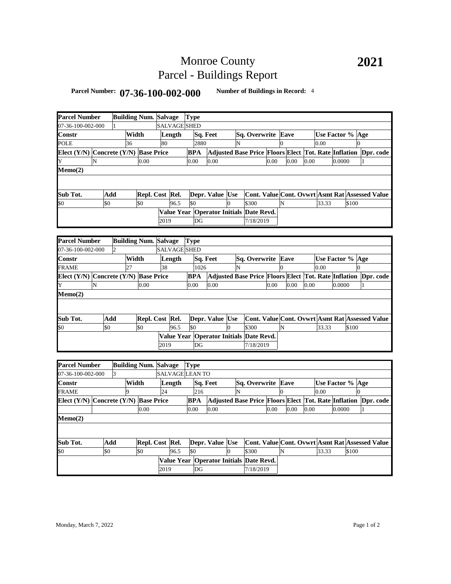## Monroe County Parcel - Buildings Report

## **Parcel Number: 07-36-100-002-000 Number of Buildings in Record:** <sup>4</sup>

| <b>Parcel Number</b>                  |     |                | <b>Building Num. Salvage</b> |      |        | <b>Type</b>         |                 |                |                                                                |      |          |      |      |                  |        |          |              |           |
|---------------------------------------|-----|----------------|------------------------------|------|--------|---------------------|-----------------|----------------|----------------------------------------------------------------|------|----------|------|------|------------------|--------|----------|--------------|-----------|
| 07-36-100-002-000                     |     | 1              |                              |      |        | <b>SALVAGE SHED</b> |                 |                |                                                                |      |          |      |      |                  |        |          |              |           |
| Constr                                |     |                | Width                        |      | Length |                     | Sq. Feet        |                | Sq. Overwrite                                                  |      |          | Eave |      | Use Factor % Age |        |          |              |           |
| <b>POLE</b>                           |     | 36             |                              | 80   |        | 2880                |                 | N              |                                                                |      | $\Omega$ |      |      | $0.00\,$         |        | $\Omega$ |              |           |
| Elect (Y/N) Concrete (Y/N) Base Price |     |                |                              |      |        | <b>BPA</b>          |                 |                | Adjusted Base Price Floors Elect Tot. Rate Inflation Dpr. code |      |          |      |      |                  |        |          |              |           |
| Y                                     | N   |                | 0.00                         |      |        | 0.00                | 0.00            |                |                                                                | 0.00 |          | 0.00 | 0.00 |                  | 0.0000 |          | $\mathbf{1}$ |           |
| Memo(2)                               |     |                |                              |      |        |                     |                 |                |                                                                |      |          |      |      |                  |        |          |              |           |
|                                       |     |                |                              |      |        |                     |                 |                |                                                                |      |          |      |      |                  |        |          |              |           |
|                                       |     |                |                              |      |        |                     |                 |                |                                                                |      |          |      |      |                  |        |          |              |           |
| Sub Tot.                              | Add |                | Repl. Cost Rel.              |      |        |                     | Depr. Value Use |                | Cont. Value Cont. Ovwrt Asmt Rat Assessed Value                |      |          |      |      |                  |        |          |              |           |
| \$0                                   | \$0 |                | \$0                          |      | 96.5   | \$0                 |                 | $\overline{0}$ | \$300                                                          |      | N        |      |      | 33.33            |        | \$100    |              |           |
|                                       |     |                |                              |      |        |                     |                 |                | Value Year Operator Initials Date Revd.                        |      |          |      |      |                  |        |          |              |           |
|                                       |     |                |                              | 2019 |        | DG                  |                 |                | 7/18/2019                                                      |      |          |      |      |                  |        |          |              |           |
|                                       |     |                |                              |      |        |                     |                 |                |                                                                |      |          |      |      |                  |        |          |              |           |
| <b>Parcel Number</b>                  |     |                | <b>Building Num. Salvage</b> |      |        | <b>Type</b>         |                 |                |                                                                |      |          |      |      |                  |        |          |              |           |
| 07-36-100-002-000                     |     | $\overline{2}$ |                              |      |        | SALVAGE SHED        |                 |                |                                                                |      |          |      |      |                  |        |          |              |           |
| Constr                                |     |                | Width                        |      | Length |                     | Sq. Feet        |                | Sq. Overwrite                                                  |      |          | Eave |      | Use Factor % Age |        |          |              |           |
| FRAME                                 |     | 27             |                              | 38   |        | 1026                |                 | N              |                                                                |      | $\theta$ |      |      | 0.00             |        |          |              |           |
| Elect (Y/N) Concrete (Y/N) Base Price |     |                |                              |      |        | <b>BPA</b>          |                 |                | Adjusted Base Price Floors Elect Tot. Rate Inflation Dpr. code |      |          |      |      |                  |        |          |              |           |
| Y                                     | N   |                | 0.00                         |      |        | 0.00                | 0.00            |                |                                                                | 0.00 |          | 0.00 | 0.00 |                  | 0.0000 |          | 1            |           |
| Memo(2)                               |     |                |                              |      |        |                     |                 |                |                                                                |      |          |      |      |                  |        |          |              |           |
|                                       |     |                |                              |      |        |                     |                 |                |                                                                |      |          |      |      |                  |        |          |              |           |
|                                       |     |                |                              |      |        |                     |                 |                |                                                                |      |          |      |      |                  |        |          |              |           |
| Sub Tot.                              | Add |                | Repl. Cost Rel.              |      |        |                     | Depr. Value Use |                | Cont. Value Cont. Ovwrt Asmt Rat Assessed Value                |      |          |      |      |                  |        |          |              |           |
| \$0                                   | \$0 |                | \$0                          |      | 96.5   | \$0                 |                 | $\Omega$       | \$300                                                          |      | N        |      |      | 33.33            |        | \$100    |              |           |
|                                       |     |                |                              |      |        |                     |                 |                | Value Year Operator Initials Date Revd.                        |      |          |      |      |                  |        |          |              |           |
|                                       |     |                |                              | 2019 |        | DG                  |                 |                | 7/18/2019                                                      |      |          |      |      |                  |        |          |              |           |
|                                       |     |                |                              |      |        |                     |                 |                |                                                                |      |          |      |      |                  |        |          |              |           |
| <b>Parcel Number</b>                  |     |                | <b>Building Num. Salvage</b> |      |        | <b>Type</b>         |                 |                |                                                                |      |          |      |      |                  |        |          |              |           |
| 07-36-100-002-000                     |     | 3              |                              |      |        | SALVAGE LEAN TO     |                 |                |                                                                |      |          |      |      |                  |        |          |              |           |
| Constr                                |     |                | Width                        |      | Length |                     | Sq. Feet        |                | Sq. Overwrite Eave                                             |      |          |      |      | Use Factor % Age |        |          |              |           |
| FRAME                                 |     | $\overline{Q}$ |                              | 24   |        | 216                 |                 | N              |                                                                |      | $\Omega$ |      |      | 0.00             |        |          |              |           |
| Elect (Y/N) Concrete (Y/N) Base Price |     |                |                              |      |        | <b>BPA</b>          |                 |                | <b>Adjusted Base Price Floors Elect Tot. Rate Inflation</b>    |      |          |      |      |                  |        |          |              | Dpr. code |
|                                       |     |                | 0.00                         |      |        | 0.00                | 0.00            |                |                                                                | 0.00 |          | 0.00 | 0.00 |                  | 0.0000 |          |              |           |
| Memo(2)                               |     |                |                              |      |        |                     |                 |                |                                                                |      |          |      |      |                  |        |          |              |           |
|                                       |     |                |                              |      |        |                     |                 |                |                                                                |      |          |      |      |                  |        |          |              |           |
|                                       |     |                |                              |      |        |                     |                 |                |                                                                |      |          |      |      |                  |        |          |              |           |
| Sub Tot.                              | Add |                | Repl. Cost Rel.              |      |        |                     | Depr. Value Use |                | <b>Cont. Value Cont. Ovwrt Asmt Rat Assessed Value</b>         |      |          |      |      |                  |        |          |              |           |
| \$0                                   | \$0 |                | \$0                          |      | 96.5   | \$0                 |                 | $\overline{0}$ | \$300                                                          |      | N        |      |      | 33.33            |        | \$100    |              |           |
|                                       |     |                |                              |      |        |                     |                 |                | Value Year Operator Initials Date Revd.                        |      |          |      |      |                  |        |          |              |           |
|                                       |     |                |                              | 2019 |        | DG                  |                 |                | 7/18/2019                                                      |      |          |      |      |                  |        |          |              |           |